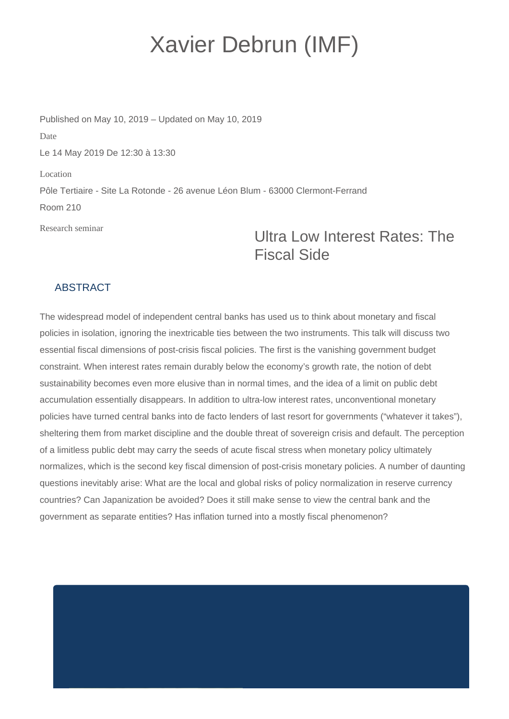## Xavier Debrun (IMF)

Published on May 10, 2019 – Updated on May 10, 2019 Date Le 14 May 2019 De 12:30 à 13:30 Location Pôle Tertiaire - Site La Rotonde - 26 avenue Léon Blum - 63000 Clermont-Ferrand Room 210

Research seminar

## Ultra Low Interest Rates: The Fiscal Side

## **ABSTRACT**

The widespread model of independent central banks has used us to think about monetary and fiscal policies in isolation, ignoring the inextricable ties between the two instruments. This talk will discuss two essential fiscal dimensions of post-crisis fiscal policies. The first is the vanishing government budget constraint. When interest rates remain durably below the economy's growth rate, the notion of debt sustainability becomes even more elusive than in normal times, and the idea of a limit on public debt accumulation essentially disappears. In addition to ultra-low interest rates, unconventional monetary policies have turned central banks into de facto lenders of last resort for governments ("whatever it takes"), sheltering them from market discipline and the double threat of sovereign crisis and default. The perception of a limitless public debt may carry the seeds of acute fiscal stress when monetary policy ultimately normalizes, which is the second key fiscal dimension of post-crisis monetary policies. A number of daunting questions inevitably arise: What are the local and global risks of policy normalization in reserve currency countries? Can Japanization be avoided? Does it still make sense to view the central bank and the government as separate entities? Has inflation turned into a mostly fiscal phenomenon?